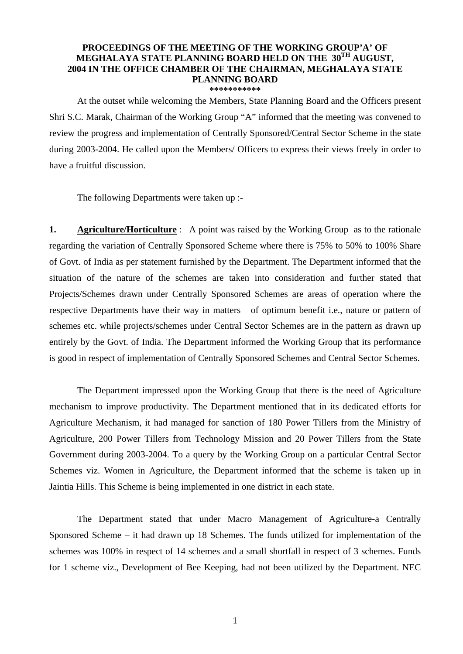## **PROCEEDINGS OF THE MEETING OF THE WORKING GROUP'A' OF MEGHALAYA STATE PLANNING BOARD HELD ON THE 30TH AUGUST, 2004 IN THE OFFICE CHAMBER OF THE CHAIRMAN, MEGHALAYA STATE PLANNING BOARD \*\*\*\*\*\*\*\*\*\*\***

At the outset while welcoming the Members, State Planning Board and the Officers present Shri S.C. Marak, Chairman of the Working Group "A" informed that the meeting was convened to review the progress and implementation of Centrally Sponsored/Central Sector Scheme in the state during 2003-2004. He called upon the Members/ Officers to express their views freely in order to have a fruitful discussion.

The following Departments were taken up :-

**1. Agriculture/Horticulture** : A point was raised by the Working Group as to the rationale regarding the variation of Centrally Sponsored Scheme where there is 75% to 50% to 100% Share of Govt. of India as per statement furnished by the Department. The Department informed that the situation of the nature of the schemes are taken into consideration and further stated that Projects/Schemes drawn under Centrally Sponsored Schemes are areas of operation where the respective Departments have their way in matters of optimum benefit i.e., nature or pattern of schemes etc. while projects/schemes under Central Sector Schemes are in the pattern as drawn up entirely by the Govt. of India. The Department informed the Working Group that its performance is good in respect of implementation of Centrally Sponsored Schemes and Central Sector Schemes.

 The Department impressed upon the Working Group that there is the need of Agriculture mechanism to improve productivity. The Department mentioned that in its dedicated efforts for Agriculture Mechanism, it had managed for sanction of 180 Power Tillers from the Ministry of Agriculture, 200 Power Tillers from Technology Mission and 20 Power Tillers from the State Government during 2003-2004. To a query by the Working Group on a particular Central Sector Schemes viz. Women in Agriculture, the Department informed that the scheme is taken up in Jaintia Hills. This Scheme is being implemented in one district in each state.

 The Department stated that under Macro Management of Agriculture-a Centrally Sponsored Scheme – it had drawn up 18 Schemes. The funds utilized for implementation of the schemes was 100% in respect of 14 schemes and a small shortfall in respect of 3 schemes. Funds for 1 scheme viz., Development of Bee Keeping, had not been utilized by the Department. NEC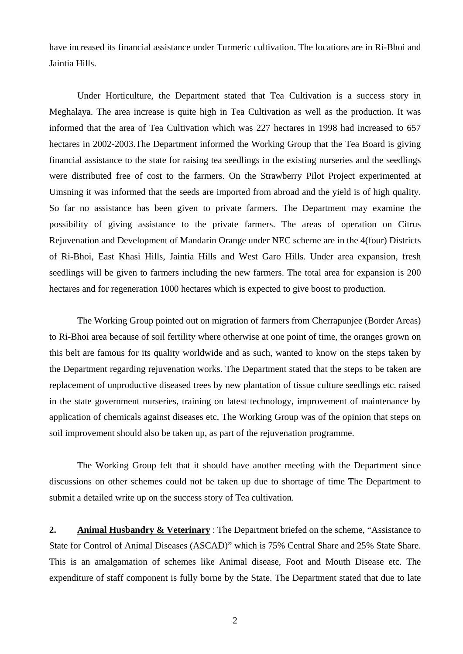have increased its financial assistance under Turmeric cultivation. The locations are in Ri-Bhoi and Jaintia Hills.

Under Horticulture, the Department stated that Tea Cultivation is a success story in Meghalaya. The area increase is quite high in Tea Cultivation as well as the production. It was informed that the area of Tea Cultivation which was 227 hectares in 1998 had increased to 657 hectares in 2002-2003.The Department informed the Working Group that the Tea Board is giving financial assistance to the state for raising tea seedlings in the existing nurseries and the seedlings were distributed free of cost to the farmers. On the Strawberry Pilot Project experimented at Umsning it was informed that the seeds are imported from abroad and the yield is of high quality. So far no assistance has been given to private farmers. The Department may examine the possibility of giving assistance to the private farmers. The areas of operation on Citrus Rejuvenation and Development of Mandarin Orange under NEC scheme are in the 4(four) Districts of Ri-Bhoi, East Khasi Hills, Jaintia Hills and West Garo Hills. Under area expansion, fresh seedlings will be given to farmers including the new farmers. The total area for expansion is 200 hectares and for regeneration 1000 hectares which is expected to give boost to production.

 The Working Group pointed out on migration of farmers from Cherrapunjee (Border Areas) to Ri-Bhoi area because of soil fertility where otherwise at one point of time, the oranges grown on this belt are famous for its quality worldwide and as such, wanted to know on the steps taken by the Department regarding rejuvenation works. The Department stated that the steps to be taken are replacement of unproductive diseased trees by new plantation of tissue culture seedlings etc. raised in the state government nurseries, training on latest technology, improvement of maintenance by application of chemicals against diseases etc. The Working Group was of the opinion that steps on soil improvement should also be taken up, as part of the rejuvenation programme.

 The Working Group felt that it should have another meeting with the Department since discussions on other schemes could not be taken up due to shortage of time The Department to submit a detailed write up on the success story of Tea cultivation.

**2. Animal Husbandry & Veterinary** : The Department briefed on the scheme, "Assistance to State for Control of Animal Diseases (ASCAD)" which is 75% Central Share and 25% State Share. This is an amalgamation of schemes like Animal disease, Foot and Mouth Disease etc. The expenditure of staff component is fully borne by the State. The Department stated that due to late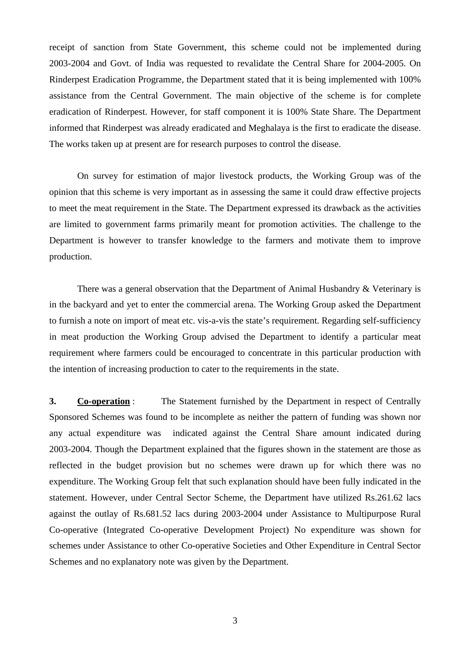receipt of sanction from State Government, this scheme could not be implemented during 2003-2004 and Govt. of India was requested to revalidate the Central Share for 2004-2005. On Rinderpest Eradication Programme, the Department stated that it is being implemented with 100% assistance from the Central Government. The main objective of the scheme is for complete eradication of Rinderpest. However, for staff component it is 100% State Share. The Department informed that Rinderpest was already eradicated and Meghalaya is the first to eradicate the disease. The works taken up at present are for research purposes to control the disease.

 On survey for estimation of major livestock products, the Working Group was of the opinion that this scheme is very important as in assessing the same it could draw effective projects to meet the meat requirement in the State. The Department expressed its drawback as the activities are limited to government farms primarily meant for promotion activities. The challenge to the Department is however to transfer knowledge to the farmers and motivate them to improve production.

There was a general observation that the Department of Animal Husbandry & Veterinary is in the backyard and yet to enter the commercial arena. The Working Group asked the Department to furnish a note on import of meat etc. vis-a-vis the state's requirement. Regarding self-sufficiency in meat production the Working Group advised the Department to identify a particular meat requirement where farmers could be encouraged to concentrate in this particular production with the intention of increasing production to cater to the requirements in the state.

**3. Co-operation**: The Statement furnished by the Department in respect of Centrally Sponsored Schemes was found to be incomplete as neither the pattern of funding was shown nor any actual expenditure was indicated against the Central Share amount indicated during 2003-2004. Though the Department explained that the figures shown in the statement are those as reflected in the budget provision but no schemes were drawn up for which there was no expenditure. The Working Group felt that such explanation should have been fully indicated in the statement. However, under Central Sector Scheme, the Department have utilized Rs.261.62 lacs against the outlay of Rs.681.52 lacs during 2003-2004 under Assistance to Multipurpose Rural Co-operative (Integrated Co-operative Development Project) No expenditure was shown for schemes under Assistance to other Co-operative Societies and Other Expenditure in Central Sector Schemes and no explanatory note was given by the Department.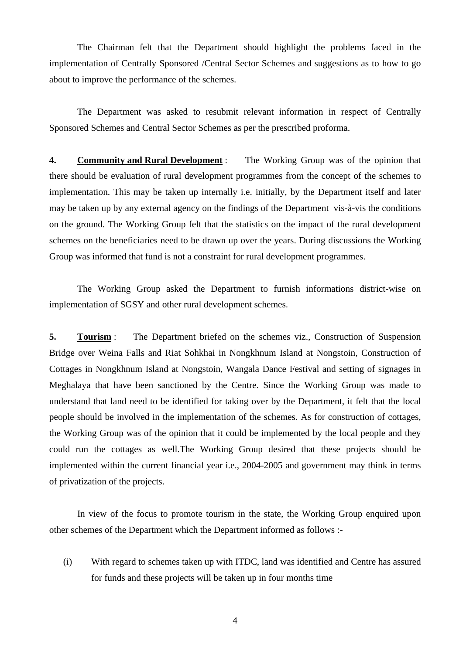The Chairman felt that the Department should highlight the problems faced in the implementation of Centrally Sponsored /Central Sector Schemes and suggestions as to how to go about to improve the performance of the schemes.

 The Department was asked to resubmit relevant information in respect of Centrally Sponsored Schemes and Central Sector Schemes as per the prescribed proforma.

**4. Community and Rural Development** : The Working Group was of the opinion that there should be evaluation of rural development programmes from the concept of the schemes to implementation. This may be taken up internally i.e. initially, by the Department itself and later may be taken up by any external agency on the findings of the Department vis-à-vis the conditions on the ground. The Working Group felt that the statistics on the impact of the rural development schemes on the beneficiaries need to be drawn up over the years. During discussions the Working Group was informed that fund is not a constraint for rural development programmes.

 The Working Group asked the Department to furnish informations district-wise on implementation of SGSY and other rural development schemes.

**5. Tourism** : The Department briefed on the schemes viz., Construction of Suspension Bridge over Weina Falls and Riat Sohkhai in Nongkhnum Island at Nongstoin, Construction of Cottages in Nongkhnum Island at Nongstoin, Wangala Dance Festival and setting of signages in Meghalaya that have been sanctioned by the Centre. Since the Working Group was made to understand that land need to be identified for taking over by the Department, it felt that the local people should be involved in the implementation of the schemes. As for construction of cottages, the Working Group was of the opinion that it could be implemented by the local people and they could run the cottages as well.The Working Group desired that these projects should be implemented within the current financial year i.e., 2004-2005 and government may think in terms of privatization of the projects.

 In view of the focus to promote tourism in the state, the Working Group enquired upon other schemes of the Department which the Department informed as follows :-

(i) With regard to schemes taken up with ITDC, land was identified and Centre has assured for funds and these projects will be taken up in four months time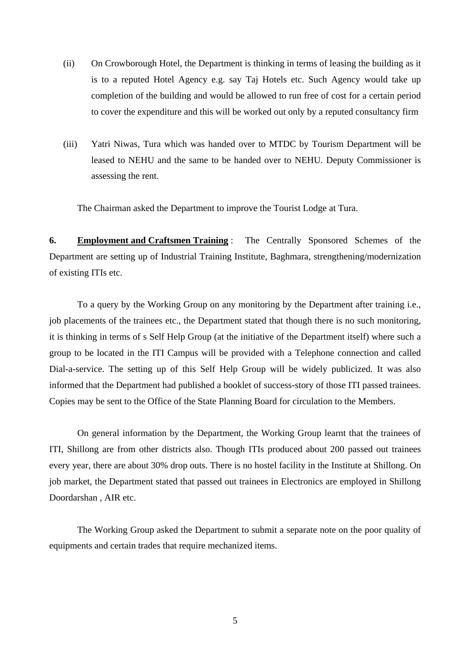- (ii) On Crowborough Hotel, the Department is thinking in terms of leasing the building as it is to a reputed Hotel Agency e.g. say Taj Hotels etc. Such Agency would take up completion of the building and would be allowed to run free of cost for a certain period to cover the expenditure and this will be worked out only by a reputed consultancy firm
- (iii) Yatri Niwas, Tura which was handed over to MTDC by Tourism Department will be leased to NEHU and the same to be handed over to NEHU. Deputy Commissioner is assessing the rent.

The Chairman asked the Department to improve the Tourist Lodge at Tura.

**6. Employment and Craftsmen Training** : The Centrally Sponsored Schemes of the Department are setting up of Industrial Training Institute, Baghmara, strengthening/modernization of existing ITIs etc.

 To a query by the Working Group on any monitoring by the Department after training i.e., job placements of the trainees etc., the Department stated that though there is no such monitoring, it is thinking in terms of s Self Help Group (at the initiative of the Department itself) where such a group to be located in the ITI Campus will be provided with a Telephone connection and called Dial-a-service. The setting up of this Self Help Group will be widely publicized. It was also informed that the Department had published a booklet of success-story of those ITI passed trainees. Copies may be sent to the Office of the State Planning Board for circulation to the Members.

 On general information by the Department, the Working Group learnt that the trainees of ITI, Shillong are from other districts also. Though ITIs produced about 200 passed out trainees every year, there are about 30% drop outs. There is no hostel facility in the Institute at Shillong. On job market, the Department stated that passed out trainees in Electronics are employed in Shillong Doordarshan , AIR etc.

 The Working Group asked the Department to submit a separate note on the poor quality of equipments and certain trades that require mechanized items.